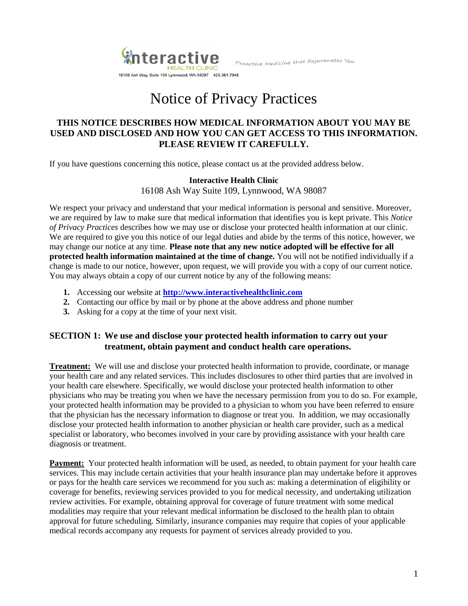**nteractive** HEALTH CLINIC 16108 Ash Way, Suite 109 Lynnwood, WA 98087 425.361.7945

Proactive Medicine that Rejuvenates You

# Notice of Privacy Practices

### **THIS NOTICE DESCRIBES HOW MEDICAL INFORMATION ABOUT YOU MAY BE USED AND DISCLOSED AND HOW YOU CAN GET ACCESS TO THIS INFORMATION. PLEASE REVIEW IT CAREFULLY.**

If you have questions concerning this notice, please contact us at the provided address below.

# **Interactive Health Clinic**

16108 Ash Way Suite 109, Lynnwood, WA 98087

We respect your privacy and understand that your medical information is personal and sensitive. Moreover, we are required by law to make sure that medical information that identifies you is kept private. This *Notice of Privacy Practices* describes how we may use or disclose your protected health information at our clinic. We are required to give you this notice of our legal duties and abide by the terms of this notice, however, we may change our notice at any time. **Please note that any new notice adopted will be effective for all protected health information maintained at the time of change.** You will not be notified individually if a change is made to our notice, however, upon request, we will provide you with a copy of our current notice. You may always obtain a copy of our current notice by any of the following means:

- **1.** Accessing our website at **[http://www.interactivehealthclinic.com](http://www.interactivehealthclinic.com/)**
- **2.** Contacting our office by mail or by phone at the above address and phone number
- **3.** Asking for a copy at the time of your next visit.

# **SECTION 1: We use and disclose your protected health information to carry out your treatment, obtain payment and conduct health care operations.**

**Treatment:** We will use and disclose your protected health information to provide, coordinate, or manage your health care and any related services. This includes disclosures to other third parties that are involved in your health care elsewhere. Specifically, we would disclose your protected health information to other physicians who may be treating you when we have the necessary permission from you to do so. For example, your protected health information may be provided to a physician to whom you have been referred to ensure that the physician has the necessary information to diagnose or treat you. In addition, we may occasionally disclose your protected health information to another physician or health care provider, such as a medical specialist or laboratory, who becomes involved in your care by providing assistance with your health care diagnosis or treatment.

**Payment:** Your protected health information will be used, as needed, to obtain payment for your health care services. This may include certain activities that your health insurance plan may undertake before it approves or pays for the health care services we recommend for you such as: making a determination of eligibility or coverage for benefits, reviewing services provided to you for medical necessity, and undertaking utilization review activities. For example, obtaining approval for coverage of future treatment with some medical modalities may require that your relevant medical information be disclosed to the health plan to obtain approval for future scheduling. Similarly, insurance companies may require that copies of your applicable medical records accompany any requests for payment of services already provided to you.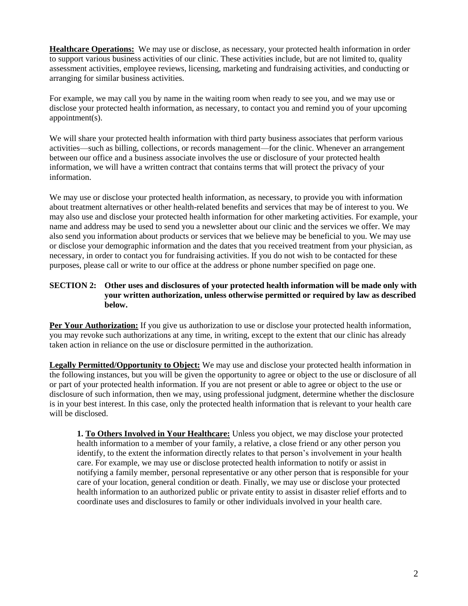**Healthcare Operations:** We may use or disclose, as necessary, your protected health information in order to support various business activities of our clinic. These activities include, but are not limited to, quality assessment activities, employee reviews, licensing, marketing and fundraising activities, and conducting or arranging for similar business activities.

For example, we may call you by name in the waiting room when ready to see you, and we may use or disclose your protected health information, as necessary, to contact you and remind you of your upcoming appointment(s).

We will share your protected health information with third party business associates that perform various activities—such as billing, collections, or records management—for the clinic. Whenever an arrangement between our office and a business associate involves the use or disclosure of your protected health information, we will have a written contract that contains terms that will protect the privacy of your information.

We may use or disclose your protected health information, as necessary, to provide you with information about treatment alternatives or other health-related benefits and services that may be of interest to you. We may also use and disclose your protected health information for other marketing activities. For example, your name and address may be used to send you a newsletter about our clinic and the services we offer. We may also send you information about products or services that we believe may be beneficial to you. We may use or disclose your demographic information and the dates that you received treatment from your physician, as necessary, in order to contact you for fundraising activities. If you do not wish to be contacted for these purposes, please call or write to our office at the address or phone number specified on page one.

#### **SECTION 2: Other uses and disclosures of your protected health information will be made only with your written authorization, unless otherwise permitted or required by law as described below.**

**Per Your Authorization:** If you give us authorization to use or disclose your protected health information, you may revoke such authorizations at any time, in writing, except to the extent that our clinic has already taken action in reliance on the use or disclosure permitted in the authorization.

**Legally Permitted/Opportunity to Object:** We may use and disclose your protected health information in the following instances, but you will be given the opportunity to agree or object to the use or disclosure of all or part of your protected health information. If you are not present or able to agree or object to the use or disclosure of such information, then we may, using professional judgment, determine whether the disclosure is in your best interest. In this case, only the protected health information that is relevant to your health care will be disclosed.

**1. To Others Involved in Your Healthcare:** Unless you object, we may disclose your protected health information to a member of your family, a relative, a close friend or any other person you identify, to the extent the information directly relates to that person's involvement in your health care. For example, we may use or disclose protected health information to notify or assist in notifying a family member, personal representative or any other person that is responsible for your care of your location, general condition or death. Finally, we may use or disclose your protected health information to an authorized public or private entity to assist in disaster relief efforts and to coordinate uses and disclosures to family or other individuals involved in your health care.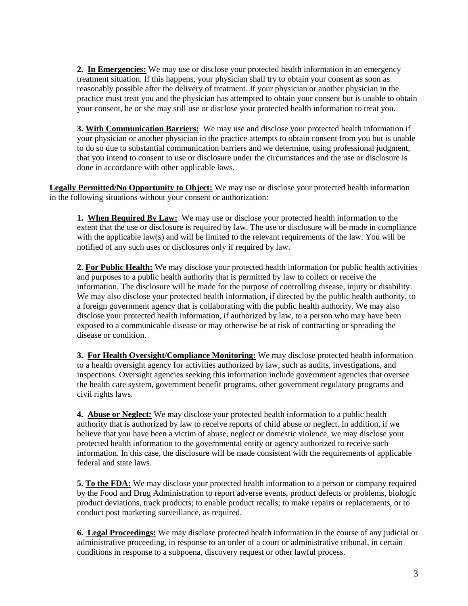**2. In Emergencies:** We may use or disclose your protected health information in an emergency treatment situation. If this happens, your physician shall try to obtain your consent as soon as reasonably possible after the delivery of treatment. If your physician or another physician in the practice must treat you and the physician has attempted to obtain your consent but is unable to obtain your consent, he or she may still use or disclose your protected health information to treat you.

**3. With Communication Barriers:** We may use and disclose your protected health information if your physician or another physician in the practice attempts to obtain consent from you but is unable to do so due to substantial communication barriers and we determine, using professional judgment, that you intend to consent to use or disclosure under the circumstances and the use or disclosure is done in accordance with other applicable laws.

**Legally Permitted/No Opportunity to Object:** We may use or disclose your protected health information in the following situations without your consent or authorization:

**1. When Required By Law:** We may use or disclose your protected health information to the extent that the use or disclosure is required by law. The use or disclosure will be made in compliance with the applicable law(s) and will be limited to the relevant requirements of the law. You will be notified of any such uses or disclosures only if required by law.

**2. For Public Health:** We may disclose your protected health information for public health activities and purposes to a public health authority that is permitted by law to collect or receive the information. The disclosure will be made for the purpose of controlling disease, injury or disability. We may also disclose your protected health information, if directed by the public health authority, to a foreign government agency that is collaborating with the public health authority. We may also disclose your protected health information, if authorized by law, to a person who may have been exposed to a communicable disease or may otherwise be at risk of contracting or spreading the disease or condition.

**3. For Health Oversight/Compliance Monitoring:** We may disclose protected health information to a health oversight agency for activities authorized by law, such as audits, investigations, and inspections. Oversight agencies seeking this information include government agencies that oversee the health care system, government benefit programs, other government regulatory programs and civil rights laws.

**4. Abuse or Neglect:** We may disclose your protected health information to a public health authority that is authorized by law to receive reports of child abuse or neglect. In addition, if we believe that you have been a victim of abuse, neglect or domestic violence, we may disclose your protected health information to the governmental entity or agency authorized to receive such information. In this case, the disclosure will be made consistent with the requirements of applicable federal and state laws.

**5. To the FDA:** We may disclose your protected health information to a person or company required by the Food and Drug Administration to report adverse events, product defects or problems, biologic product deviations, track products; to enable product recalls; to make repairs or replacements, or to conduct post marketing surveillance, as required.

**6. Legal Proceedings:** We may disclose protected health information in the course of any judicial or administrative proceeding, in response to an order of a court or administrative tribunal, in certain conditions in response to a subpoena, discovery request or other lawful process.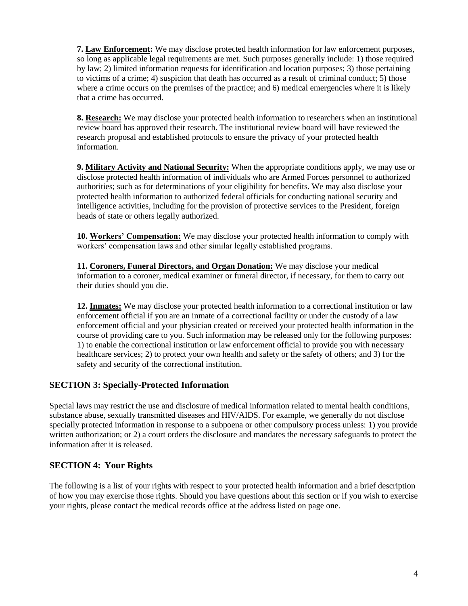**7. Law Enforcement:** We may disclose protected health information for law enforcement purposes, so long as applicable legal requirements are met. Such purposes generally include: 1) those required by law; 2) limited information requests for identification and location purposes; 3) those pertaining to victims of a crime; 4) suspicion that death has occurred as a result of criminal conduct; 5) those where a crime occurs on the premises of the practice; and 6) medical emergencies where it is likely that a crime has occurred.

**8. Research:** We may disclose your protected health information to researchers when an institutional review board has approved their research. The institutional review board will have reviewed the research proposal and established protocols to ensure the privacy of your protected health information.

**9. Military Activity and National Security:** When the appropriate conditions apply, we may use or disclose protected health information of individuals who are Armed Forces personnel to authorized authorities; such as for determinations of your eligibility for benefits. We may also disclose your protected health information to authorized federal officials for conducting national security and intelligence activities, including for the provision of protective services to the President, foreign heads of state or others legally authorized.

**10. Workers' Compensation:** We may disclose your protected health information to comply with workers' compensation laws and other similar legally established programs.

**11. Coroners, Funeral Directors, and Organ Donation:** We may disclose your medical information to a coroner, medical examiner or funeral director, if necessary, for them to carry out their duties should you die.

**12. Inmates:** We may disclose your protected health information to a correctional institution or law enforcement official if you are an inmate of a correctional facility or under the custody of a law enforcement official and your physician created or received your protected health information in the course of providing care to you. Such information may be released only for the following purposes: 1) to enable the correctional institution or law enforcement official to provide you with necessary healthcare services; 2) to protect your own health and safety or the safety of others; and 3) for the safety and security of the correctional institution.

# **SECTION 3: Specially-Protected Information**

Special laws may restrict the use and disclosure of medical information related to mental health conditions, substance abuse, sexually transmitted diseases and HIV/AIDS. For example, we generally do not disclose specially protected information in response to a subpoena or other compulsory process unless: 1) you provide written authorization; or 2) a court orders the disclosure and mandates the necessary safeguards to protect the information after it is released.

# **SECTION 4: Your Rights**

The following is a list of your rights with respect to your protected health information and a brief description of how you may exercise those rights. Should you have questions about this section or if you wish to exercise your rights, please contact the medical records office at the address listed on page one.